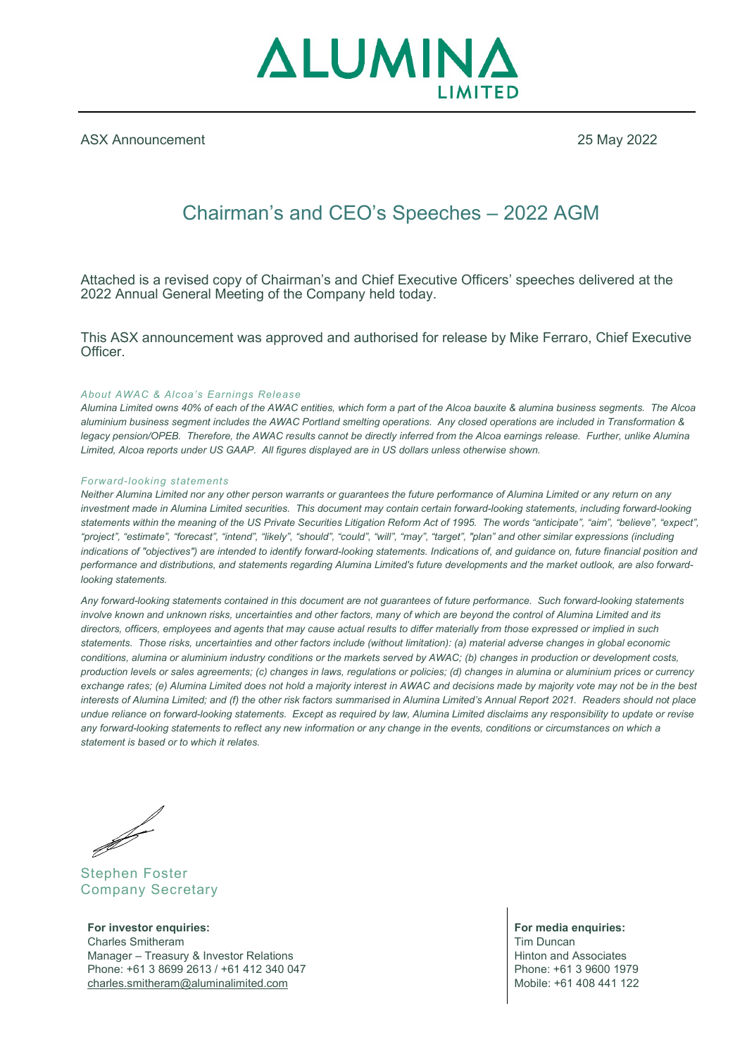

ASX Announcement 25 May 2022

# Chairman's and CEO's Speeches – 2022 AGM

Attached is a revised copy of Chairman's and Chief Executive Officers' speeches delivered at the 2022 Annual General Meeting of the Company held today.

This ASX announcement was approved and authorised for release by Mike Ferraro, Chief Executive Officer.

#### *About AWAC & Alcoa's Earnings Release*

*Alumina Limited owns 40% of each of the AWAC entities, which form a part of the Alcoa bauxite & alumina business segments. The Alcoa aluminium business segment includes the AWAC Portland smelting operations. Any closed operations are included in Transformation & legacy pension/OPEB. Therefore, the AWAC results cannot be directly inferred from the Alcoa earnings release. Further, unlike Alumina Limited, Alcoa reports under US GAAP. All figures displayed are in US dollars unless otherwise shown.*

#### *Forward-looking statements*

*Neither Alumina Limited nor any other person warrants or guarantees the future performance of Alumina Limited or any return on any investment made in Alumina Limited securities. This document may contain certain forward-looking statements, including forward-looking statements within the meaning of the US Private Securities Litigation Reform Act of 1995. The words "anticipate", "aim", "believe", "expect", "project", "estimate", "forecast", "intend", "likely", "should", "could", "will", "may", "target", "plan" and other similar expressions (including indications of "objectives") are intended to identify forward-looking statements. Indications of, and guidance on, future financial position and performance and distributions, and statements regarding Alumina Limited's future developments and the market outlook, are also forwardlooking statements.*

*Any forward-looking statements contained in this document are not guarantees of future performance. Such forward-looking statements involve known and unknown risks, uncertainties and other factors, many of which are beyond the control of Alumina Limited and its directors, officers, employees and agents that may cause actual results to differ materially from those expressed or implied in such statements. Those risks, uncertainties and other factors include (without limitation): (a) material adverse changes in global economic conditions, alumina or aluminium industry conditions or the markets served by AWAC; (b) changes in production or development costs, production levels or sales agreements; (c) changes in laws, regulations or policies; (d) changes in alumina or aluminium prices or currency exchange rates; (e) Alumina Limited does not hold a majority interest in AWAC and decisions made by majority vote may not be in the best interests of Alumina Limited; and (f) the other risk factors summarised in Alumina Limited's Annual Report 2021. Readers should not place undue reliance on forward-looking statements. Except as required by law, Alumina Limited disclaims any responsibility to update or revise any forward-looking statements to reflect any new information or any change in the events, conditions or circumstances on which a statement is based or to which it relates.*

**Similar September 2004** 

Stephen Foster Company Secretary

**For investor enquiries:**<br> **For media enquiries:**<br> **For media enquiries:**<br> **For media enquiries:**<br> **For media enquiries:** Charles Smitheram Manager – Treasury & Investor Relations (and Associates and Associates and Associates and Associates and Associates and Associates (b)  $\blacksquare$ Phone: +61 3 8699 2613 / +61 412 340 047 <br>
charles.smitheram@aluminalimited.com Mobile: +61 408 441 122  $charles.$ smitheram@aluminalimited.com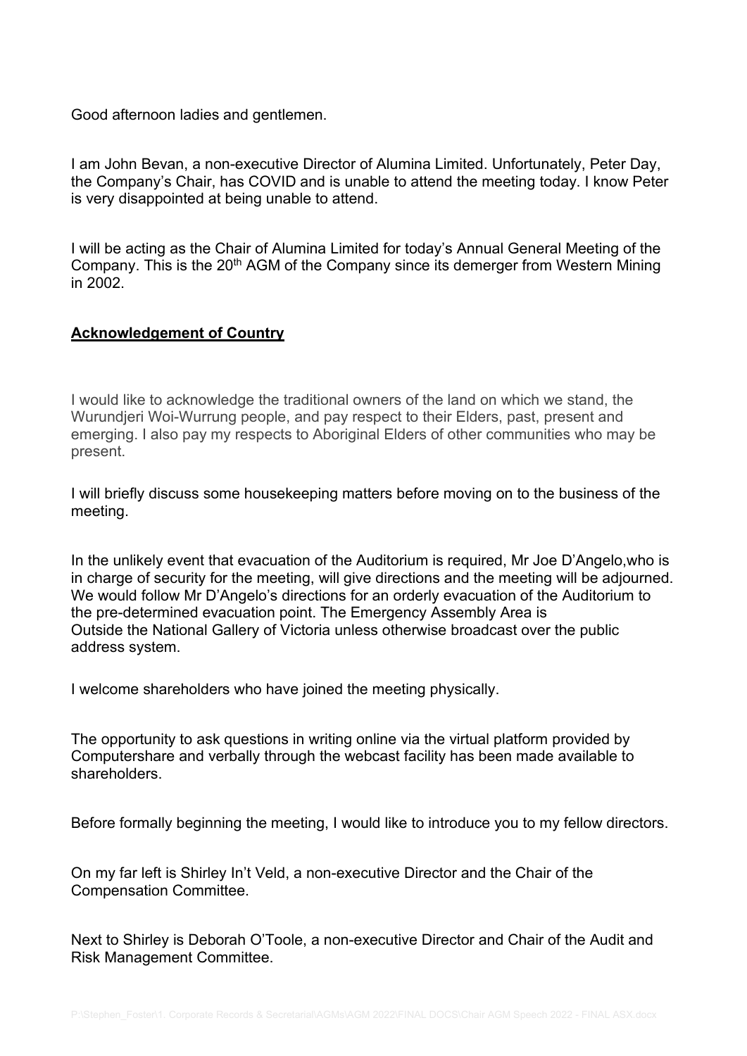Good afternoon ladies and gentlemen.

I am John Bevan, a non-executive Director of Alumina Limited. Unfortunately, Peter Day, the Company's Chair, has COVID and is unable to attend the meeting today. I know Peter is very disappointed at being unable to attend.

I will be acting as the Chair of Alumina Limited for today's Annual General Meeting of the Company. This is the 20<sup>th</sup> AGM of the Company since its demerger from Western Mining in 2002.

#### **Acknowledgement of Country**

I would like to acknowledge the traditional owners of the land on which we stand, the Wurundjeri Woi-Wurrung people, and pay respect to their Elders, past, present and emerging. I also pay my respects to Aboriginal Elders of other communities who may be present. 

I will briefly discuss some housekeeping matters before moving on to the business of the meeting.

In the unlikely event that evacuation of the Auditorium is required, Mr Joe D'Angelo,who is in charge of security for the meeting, will give directions and the meeting will be adjourned. We would follow Mr D'Angelo's directions for an orderly evacuation of the Auditorium to the pre-determined evacuation point. The Emergency Assembly Area is Outside the National Gallery of Victoria unless otherwise broadcast over the public address system.

I welcome shareholders who have joined the meeting physically.

The opportunity to ask questions in writing online via the virtual platform provided by Computershare and verbally through the webcast facility has been made available to shareholders.

Before formally beginning the meeting, I would like to introduce you to my fellow directors.

On my far left is Shirley In't Veld, a non-executive Director and the Chair of the Compensation Committee.

Next to Shirley is Deborah O'Toole, a non-executive Director and Chair of the Audit and Risk Management Committee.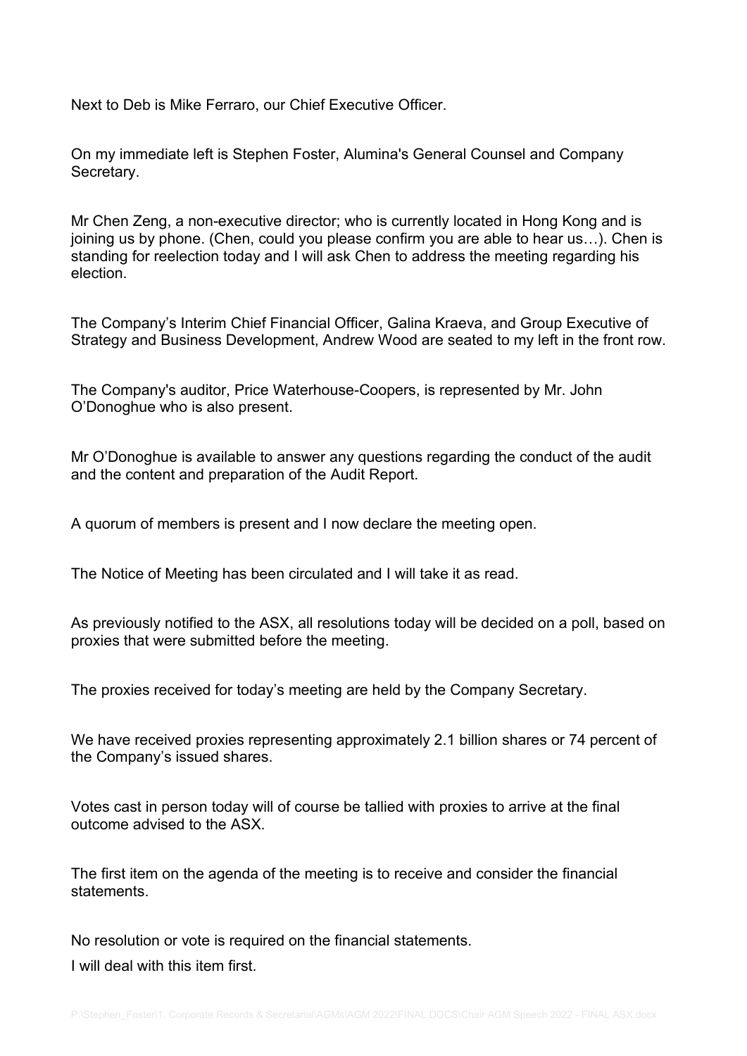Next to Deb is Mike Ferraro, our Chief Executive Officer.

On my immediate left is Stephen Foster, Alumina's General Counsel and Company Secretary.

Mr Chen Zeng, a non-executive director; who is currently located in Hong Kong and is joining us by phone. (Chen, could you please confirm you are able to hear us…). Chen is standing for reelection today and I will ask Chen to address the meeting regarding his election.

The Company's Interim Chief Financial Officer, Galina Kraeva, and Group Executive of Strategy and Business Development, Andrew Wood are seated to my left in the front row.

The Company's auditor, Price Waterhouse-Coopers, is represented by Mr. John O'Donoghue who is also present.

Mr O'Donoghue is available to answer any questions regarding the conduct of the audit and the content and preparation of the Audit Report.

A quorum of members is present and I now declare the meeting open.

The Notice of Meeting has been circulated and I will take it as read.

As previously notified to the ASX, all resolutions today will be decided on a poll, based on proxies that were submitted before the meeting.

The proxies received for today's meeting are held by the Company Secretary.

We have received proxies representing approximately 2.1 billion shares or 74 percent of the Company's issued shares.

Votes cast in person today will of course be tallied with proxies to arrive at the final outcome advised to the ASX.

The first item on the agenda of the meeting is to receive and consider the financial statements.

No resolution or vote is required on the financial statements.

I will deal with this item first.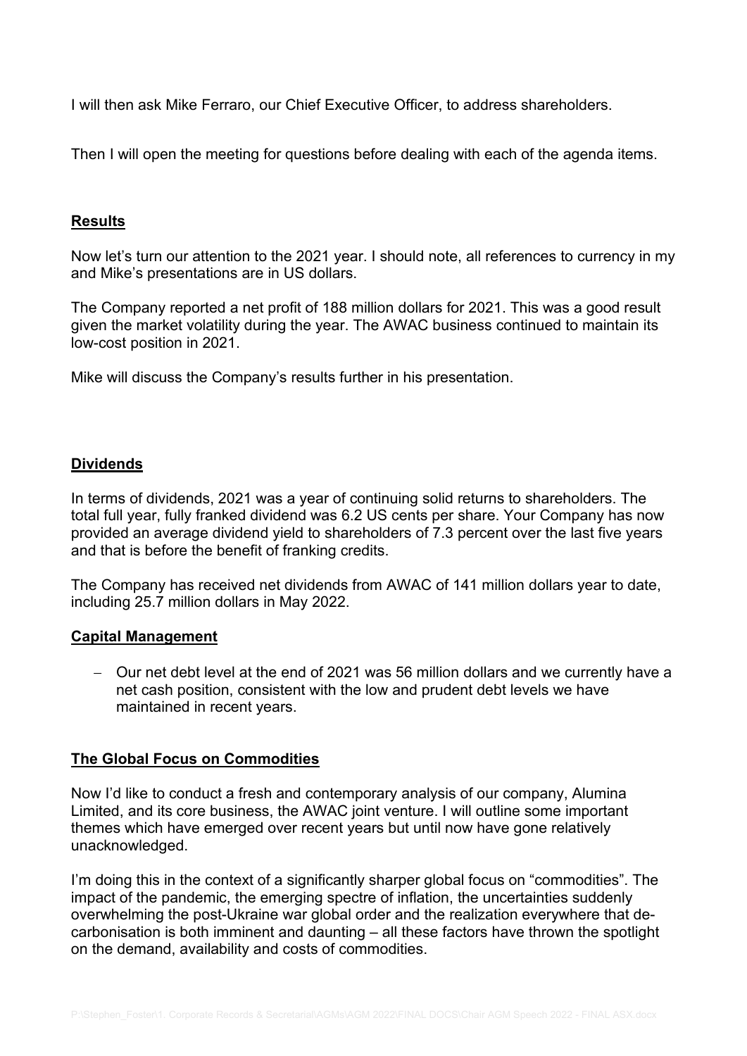I will then ask Mike Ferraro, our Chief Executive Officer, to address shareholders.

Then I will open the meeting for questions before dealing with each of the agenda items.

#### **Results**

Now let's turn our attention to the 2021 year. I should note, all references to currency in my and Mike's presentations are in US dollars.

The Company reported a net profit of 188 million dollars for 2021. This was a good result given the market volatility during the year. The AWAC business continued to maintain its low-cost position in 2021.

Mike will discuss the Company's results further in his presentation.

#### **Dividends**

In terms of dividends, 2021 was a year of continuing solid returns to shareholders. The total full year, fully franked dividend was 6.2 US cents per share. Your Company has now provided an average dividend yield to shareholders of 7.3 percent over the last five years and that is before the benefit of franking credits.

The Company has received net dividends from AWAC of 141 million dollars year to date, including 25.7 million dollars in May 2022.

#### **Capital Management**

− Our net debt level at the end of 2021 was 56 million dollars and we currently have a net cash position, consistent with the low and prudent debt levels we have maintained in recent years.

#### **The Global Focus on Commodities**

Now I'd like to conduct a fresh and contemporary analysis of our company, Alumina Limited, and its core business, the AWAC joint venture. I will outline some important themes which have emerged over recent years but until now have gone relatively unacknowledged.

I'm doing this in the context of a significantly sharper global focus on "commodities". The impact of the pandemic, the emerging spectre of inflation, the uncertainties suddenly overwhelming the post-Ukraine war global order and the realization everywhere that decarbonisation is both imminent and daunting – all these factors have thrown the spotlight on the demand, availability and costs of commodities.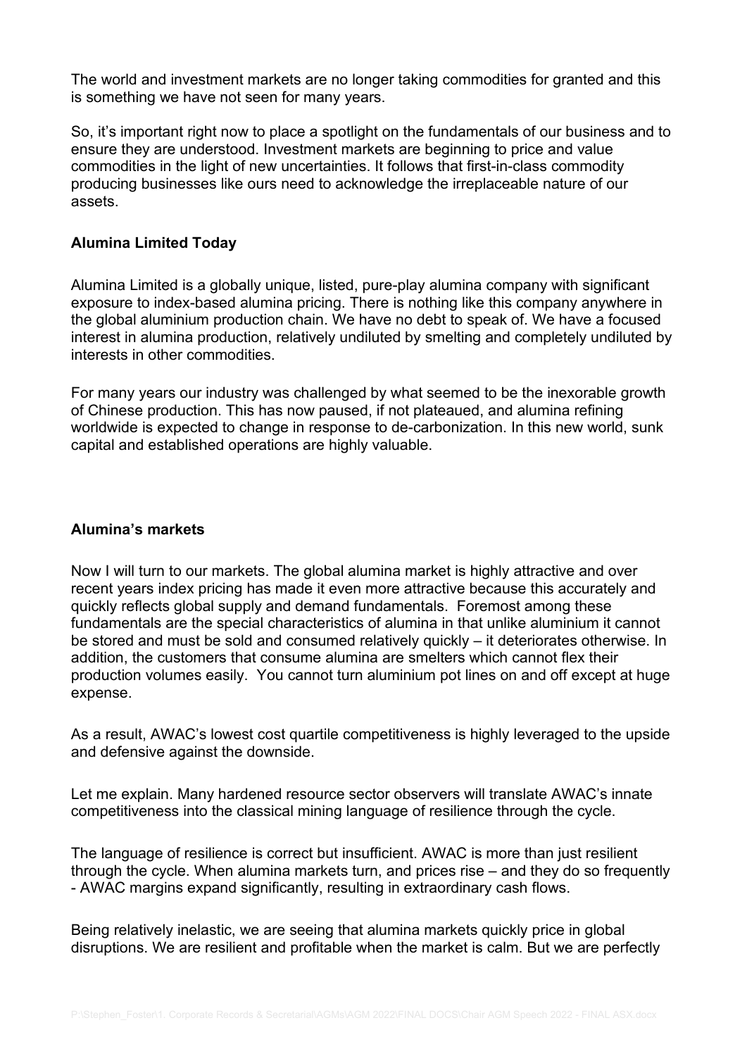The world and investment markets are no longer taking commodities for granted and this is something we have not seen for many years.

So, it's important right now to place a spotlight on the fundamentals of our business and to ensure they are understood. Investment markets are beginning to price and value commodities in the light of new uncertainties. It follows that first-in-class commodity producing businesses like ours need to acknowledge the irreplaceable nature of our assets.

## **Alumina Limited Today**

Alumina Limited is a globally unique, listed, pure-play alumina company with significant exposure to index-based alumina pricing. There is nothing like this company anywhere in the global aluminium production chain. We have no debt to speak of. We have a focused interest in alumina production, relatively undiluted by smelting and completely undiluted by interests in other commodities.

For many years our industry was challenged by what seemed to be the inexorable growth of Chinese production. This has now paused, if not plateaued, and alumina refining worldwide is expected to change in response to de-carbonization. In this new world, sunk capital and established operations are highly valuable.

# **Alumina's markets**

Now I will turn to our markets. The global alumina market is highly attractive and over recent years index pricing has made it even more attractive because this accurately and quickly reflects global supply and demand fundamentals. Foremost among these fundamentals are the special characteristics of alumina in that unlike aluminium it cannot be stored and must be sold and consumed relatively quickly – it deteriorates otherwise. In addition, the customers that consume alumina are smelters which cannot flex their production volumes easily. You cannot turn aluminium pot lines on and off except at huge expense.

As a result, AWAC's lowest cost quartile competitiveness is highly leveraged to the upside and defensive against the downside.

Let me explain. Many hardened resource sector observers will translate AWAC's innate competitiveness into the classical mining language of resilience through the cycle.

The language of resilience is correct but insufficient. AWAC is more than just resilient through the cycle. When alumina markets turn, and prices rise – and they do so frequently - AWAC margins expand significantly, resulting in extraordinary cash flows.

Being relatively inelastic, we are seeing that alumina markets quickly price in global disruptions. We are resilient and profitable when the market is calm. But we are perfectly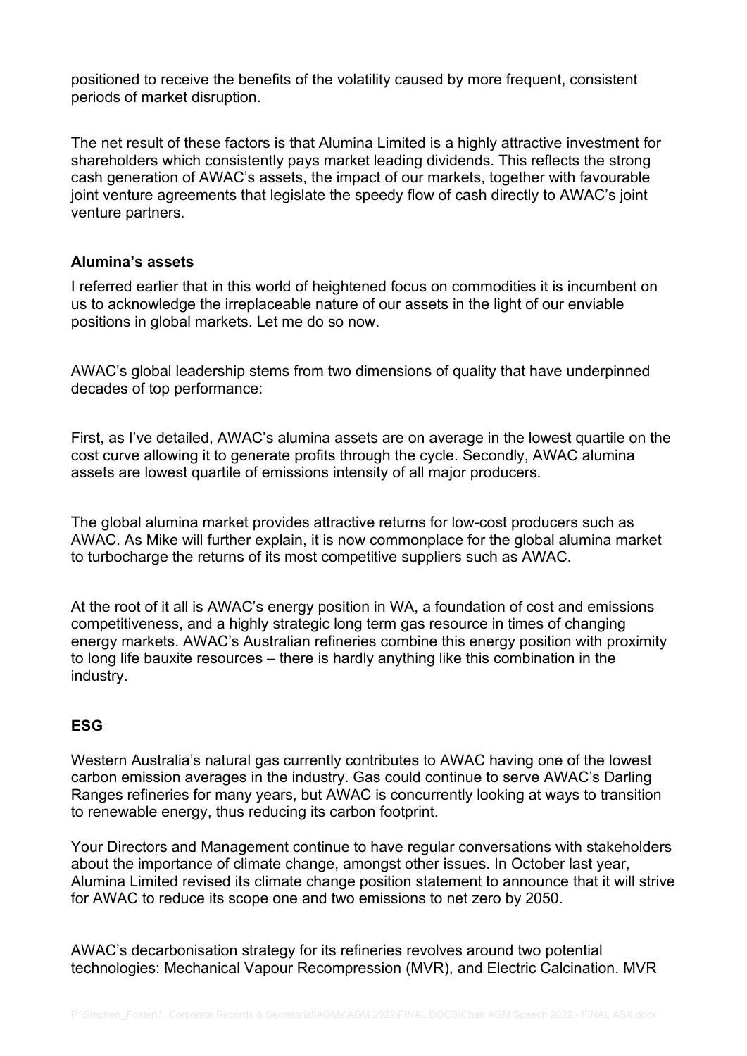positioned to receive the benefits of the volatility caused by more frequent, consistent periods of market disruption.

The net result of these factors is that Alumina Limited is a highly attractive investment for shareholders which consistently pays market leading dividends. This reflects the strong cash generation of AWAC's assets, the impact of our markets, together with favourable joint venture agreements that legislate the speedy flow of cash directly to AWAC's joint venture partners.

#### **Alumina's assets**

I referred earlier that in this world of heightened focus on commodities it is incumbent on us to acknowledge the irreplaceable nature of our assets in the light of our enviable positions in global markets. Let me do so now.

AWAC's global leadership stems from two dimensions of quality that have underpinned decades of top performance:

First, as I've detailed, AWAC's alumina assets are on average in the lowest quartile on the cost curve allowing it to generate profits through the cycle. Secondly, AWAC alumina assets are lowest quartile of emissions intensity of all major producers.

The global alumina market provides attractive returns for low-cost producers such as AWAC. As Mike will further explain, it is now commonplace for the global alumina market to turbocharge the returns of its most competitive suppliers such as AWAC.

At the root of it all is AWAC's energy position in WA, a foundation of cost and emissions competitiveness, and a highly strategic long term gas resource in times of changing energy markets. AWAC's Australian refineries combine this energy position with proximity to long life bauxite resources – there is hardly anything like this combination in the industry.

# **ESG**

Western Australia's natural gas currently contributes to AWAC having one of the lowest carbon emission averages in the industry. Gas could continue to serve AWAC's Darling Ranges refineries for many years, but AWAC is concurrently looking at ways to transition to renewable energy, thus reducing its carbon footprint.

Your Directors and Management continue to have regular conversations with stakeholders about the importance of climate change, amongst other issues. In October last year, Alumina Limited revised its climate change position statement to announce that it will strive for AWAC to reduce its scope one and two emissions to net zero by 2050.

AWAC's decarbonisation strategy for its refineries revolves around two potential technologies: Mechanical Vapour Recompression (MVR), and Electric Calcination. MVR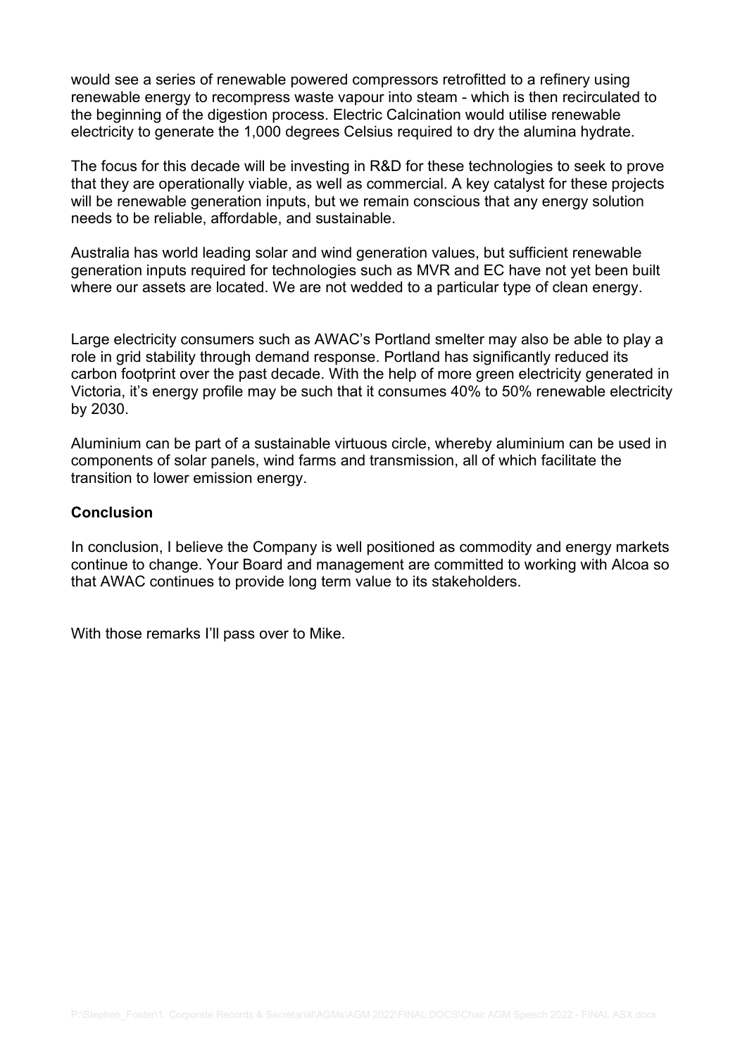would see a series of renewable powered compressors retrofitted to a refinery using renewable energy to recompress waste vapour into steam - which is then recirculated to the beginning of the digestion process. Electric Calcination would utilise renewable electricity to generate the 1,000 degrees Celsius required to dry the alumina hydrate.

The focus for this decade will be investing in R&D for these technologies to seek to prove that they are operationally viable, as well as commercial. A key catalyst for these projects will be renewable generation inputs, but we remain conscious that any energy solution needs to be reliable, affordable, and sustainable.

Australia has world leading solar and wind generation values, but sufficient renewable generation inputs required for technologies such as MVR and EC have not yet been built where our assets are located. We are not wedded to a particular type of clean energy.

Large electricity consumers such as AWAC's Portland smelter may also be able to play a role in grid stability through demand response. Portland has significantly reduced its carbon footprint over the past decade. With the help of more green electricity generated in Victoria, it's energy profile may be such that it consumes 40% to 50% renewable electricity by 2030.

Aluminium can be part of a sustainable virtuous circle, whereby aluminium can be used in components of solar panels, wind farms and transmission, all of which facilitate the transition to lower emission energy.

## **Conclusion**

In conclusion, I believe the Company is well positioned as commodity and energy markets continue to change. Your Board and management are committed to working with Alcoa so that AWAC continues to provide long term value to its stakeholders.

With those remarks I'll pass over to Mike.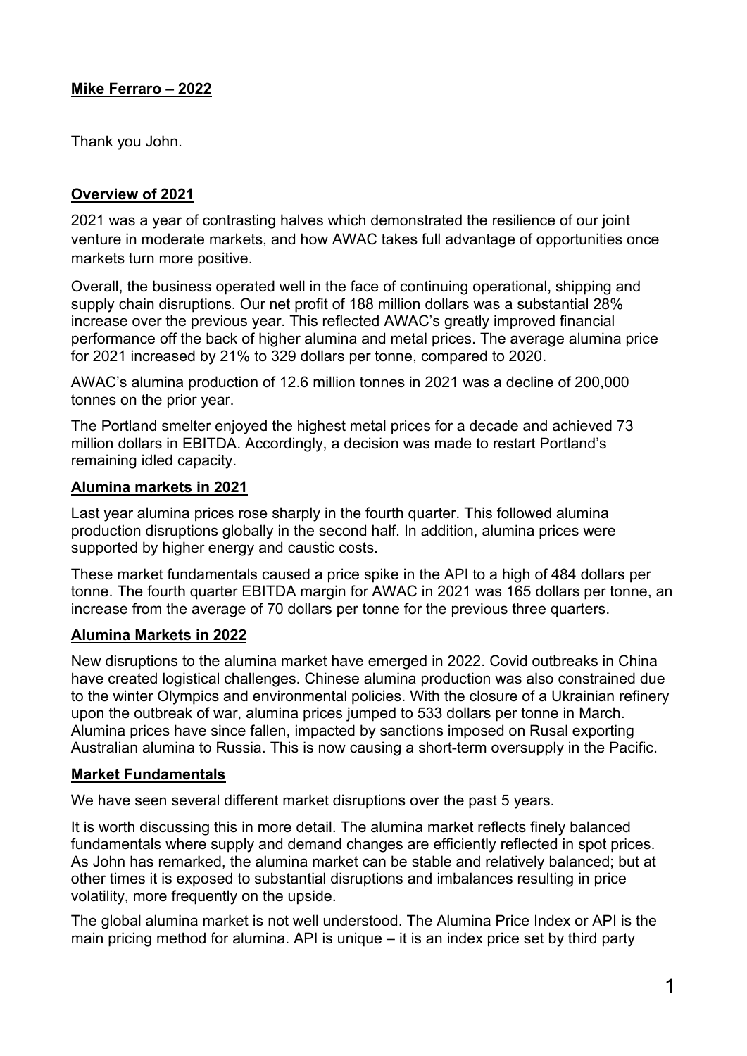# **Mike Ferraro – 2022**

Thank you John.

# **Overview of 2021**

2021 was a year of contrasting halves which demonstrated the resilience of our joint venture in moderate markets, and how AWAC takes full advantage of opportunities once markets turn more positive.

Overall, the business operated well in the face of continuing operational, shipping and supply chain disruptions. Our net profit of 188 million dollars was a substantial 28% increase over the previous year. This reflected AWAC's greatly improved financial performance off the back of higher alumina and metal prices. The average alumina price for 2021 increased by 21% to 329 dollars per tonne, compared to 2020.

AWAC's alumina production of 12.6 million tonnes in 2021 was a decline of 200,000 tonnes on the prior year.

The Portland smelter enjoyed the highest metal prices for a decade and achieved 73 million dollars in EBITDA. Accordingly, a decision was made to restart Portland's remaining idled capacity.

# **Alumina markets in 2021**

Last year alumina prices rose sharply in the fourth quarter. This followed alumina production disruptions globally in the second half. In addition, alumina prices were supported by higher energy and caustic costs.

These market fundamentals caused a price spike in the API to a high of 484 dollars per tonne. The fourth quarter EBITDA margin for AWAC in 2021 was 165 dollars per tonne, an increase from the average of 70 dollars per tonne for the previous three quarters.

# **Alumina Markets in 2022**

New disruptions to the alumina market have emerged in 2022. Covid outbreaks in China have created logistical challenges. Chinese alumina production was also constrained due to the winter Olympics and environmental policies. With the closure of a Ukrainian refinery upon the outbreak of war, alumina prices jumped to 533 dollars per tonne in March. Alumina prices have since fallen, impacted by sanctions imposed on Rusal exporting Australian alumina to Russia. This is now causing a short-term oversupply in the Pacific.

# **Market Fundamentals**

We have seen several different market disruptions over the past 5 years.

It is worth discussing this in more detail. The alumina market reflects finely balanced fundamentals where supply and demand changes are efficiently reflected in spot prices. As John has remarked, the alumina market can be stable and relatively balanced; but at other times it is exposed to substantial disruptions and imbalances resulting in price volatility, more frequently on the upside.

The global alumina market is not well understood. The Alumina Price Index or API is the main pricing method for alumina. API is unique – it is an index price set by third party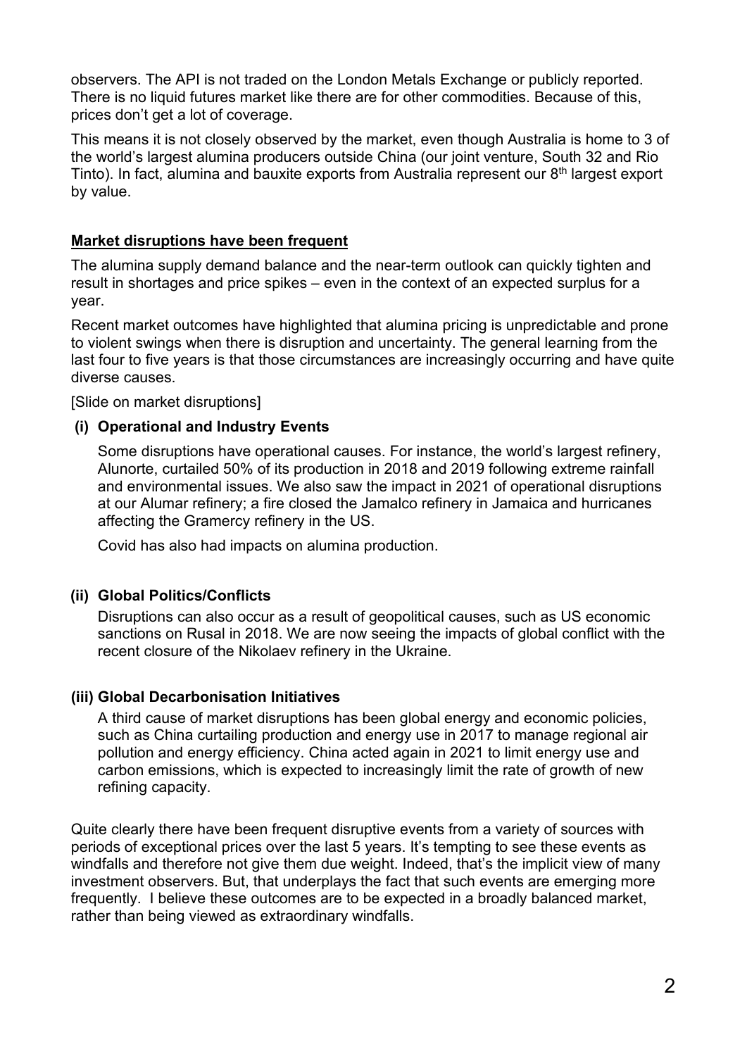observers. The API is not traded on the London Metals Exchange or publicly reported. There is no liquid futures market like there are for other commodities. Because of this, prices don't get a lot of coverage.

This means it is not closely observed by the market, even though Australia is home to 3 of the world's largest alumina producers outside China (our joint venture, South 32 and Rio Tinto). In fact, alumina and bauxite exports from Australia represent our 8<sup>th</sup> largest export by value.

# **Market disruptions have been frequent**

The alumina supply demand balance and the near-term outlook can quickly tighten and result in shortages and price spikes – even in the context of an expected surplus for a year.

Recent market outcomes have highlighted that alumina pricing is unpredictable and prone to violent swings when there is disruption and uncertainty. The general learning from the last four to five years is that those circumstances are increasingly occurring and have quite diverse causes.

[Slide on market disruptions]

# **(i) Operational and Industry Events**

Some disruptions have operational causes. For instance, the world's largest refinery, Alunorte, curtailed 50% of its production in 2018 and 2019 following extreme rainfall and environmental issues. We also saw the impact in 2021 of operational disruptions at our Alumar refinery; a fire closed the Jamalco refinery in Jamaica and hurricanes affecting the Gramercy refinery in the US.

Covid has also had impacts on alumina production.

## **(ii) Global Politics/Conflicts**

Disruptions can also occur as a result of geopolitical causes, such as US economic sanctions on Rusal in 2018. We are now seeing the impacts of global conflict with the recent closure of the Nikolaev refinery in the Ukraine.

## **(iii) Global Decarbonisation Initiatives**

A third cause of market disruptions has been global energy and economic policies, such as China curtailing production and energy use in 2017 to manage regional air pollution and energy efficiency. China acted again in 2021 to limit energy use and carbon emissions, which is expected to increasingly limit the rate of growth of new refining capacity.

Quite clearly there have been frequent disruptive events from a variety of sources with periods of exceptional prices over the last 5 years. It's tempting to see these events as windfalls and therefore not give them due weight. Indeed, that's the implicit view of many investment observers. But, that underplays the fact that such events are emerging more frequently. I believe these outcomes are to be expected in a broadly balanced market, rather than being viewed as extraordinary windfalls.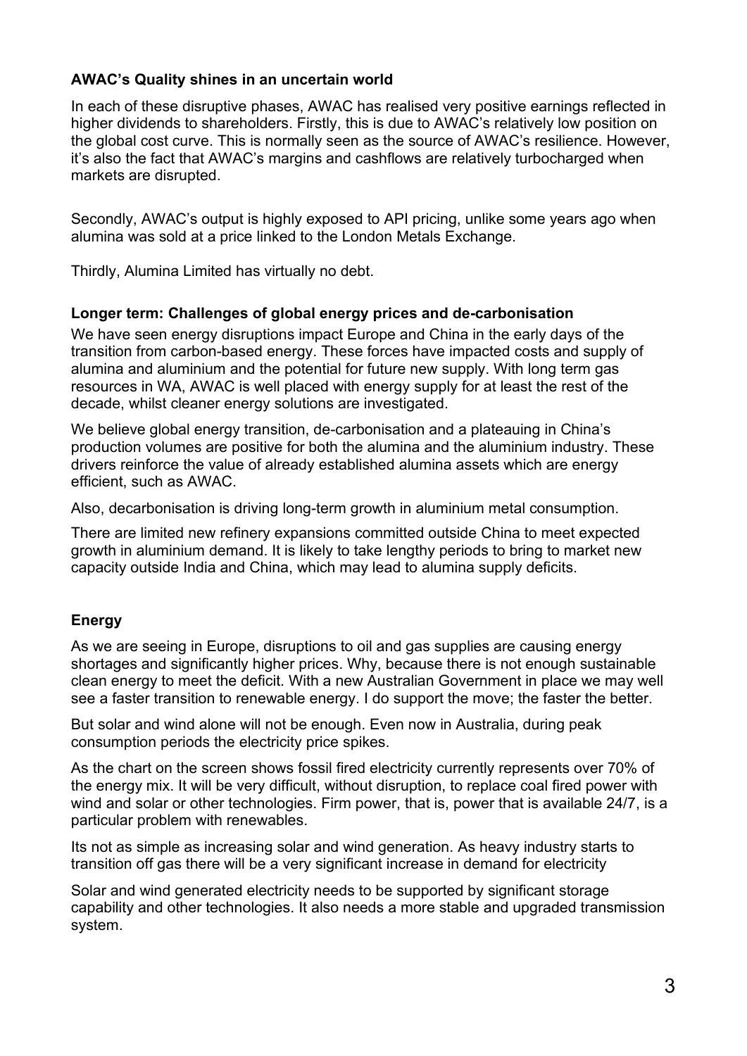# **AWAC's Quality shines in an uncertain world**

In each of these disruptive phases, AWAC has realised very positive earnings reflected in higher dividends to shareholders. Firstly, this is due to AWAC's relatively low position on the global cost curve. This is normally seen as the source of AWAC's resilience. However, it's also the fact that AWAC's margins and cashflows are relatively turbocharged when markets are disrupted.

Secondly, AWAC's output is highly exposed to API pricing, unlike some years ago when alumina was sold at a price linked to the London Metals Exchange.

Thirdly, Alumina Limited has virtually no debt.

# **Longer term: Challenges of global energy prices and de-carbonisation**

We have seen energy disruptions impact Europe and China in the early days of the transition from carbon-based energy. These forces have impacted costs and supply of alumina and aluminium and the potential for future new supply. With long term gas resources in WA, AWAC is well placed with energy supply for at least the rest of the decade, whilst cleaner energy solutions are investigated.

We believe global energy transition, de-carbonisation and a plateauing in China's production volumes are positive for both the alumina and the aluminium industry. These drivers reinforce the value of already established alumina assets which are energy efficient, such as AWAC.

Also, decarbonisation is driving long-term growth in aluminium metal consumption.

There are limited new refinery expansions committed outside China to meet expected growth in aluminium demand. It is likely to take lengthy periods to bring to market new capacity outside India and China, which may lead to alumina supply deficits.

# **Energy**

As we are seeing in Europe, disruptions to oil and gas supplies are causing energy shortages and significantly higher prices. Why, because there is not enough sustainable clean energy to meet the deficit. With a new Australian Government in place we may well see a faster transition to renewable energy. I do support the move; the faster the better.

But solar and wind alone will not be enough. Even now in Australia, during peak consumption periods the electricity price spikes.

As the chart on the screen shows fossil fired electricity currently represents over 70% of the energy mix. It will be very difficult, without disruption, to replace coal fired power with wind and solar or other technologies. Firm power, that is, power that is available 24/7, is a particular problem with renewables.

Its not as simple as increasing solar and wind generation. As heavy industry starts to transition off gas there will be a very significant increase in demand for electricity

Solar and wind generated electricity needs to be supported by significant storage capability and other technologies. It also needs a more stable and upgraded transmission system.